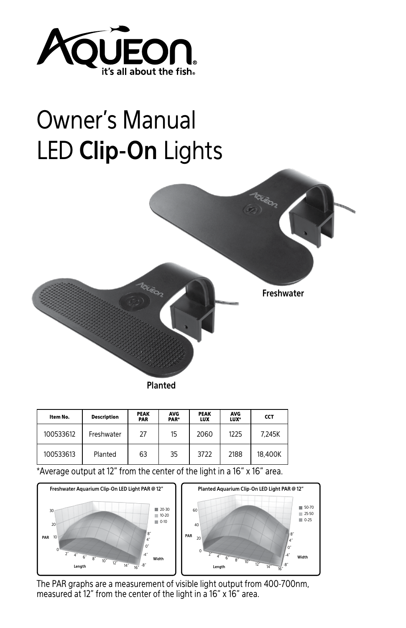

# Owner's Manual LED **Clip-On** Lights



| Item No.  | <b>Description</b> | PEAK<br>PAR | <b>AVG</b><br>PAR* | PEAK<br><b>LUX</b> | <b>AVG</b><br>LUX* | <b>CCT</b> |
|-----------|--------------------|-------------|--------------------|--------------------|--------------------|------------|
| 100533612 | Freshwater         | 27          | 15                 | 2060               | 1225               | 7.245K     |
| 100533613 | Planted            | 63          | 35                 | 3722               | 2188               | 18.400K    |

\*Average output at 12" from the center of the light in a 16" x 16" area.



The PAR graphs are a measurement of visible light output from 400-700nm, measured at 12" from the center of the light in a 16" x 16" area.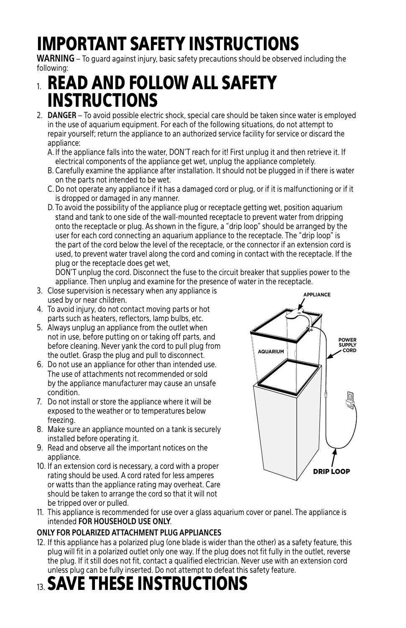## IMPORTANT SAFETY INSTRUCTIONS

**WARNING** – To guard against injury, basic safety precautions should be observed including the following:

### 1. READ AND FOLLOW ALL SAFETY **INSTRUCTIONS**

- 2. **DANGER** To avoid possible electric shock, special care should be taken since water is employed in the use of aquarium equipment. For each of the following situations, do not attempt to repair yourself; return the appliance to an authorized service facility for service or discard the appliance:
	- A. If the appliance falls into the water, DON'T reach for it! First unplug it and then retrieve it. If electrical components of the appliance get wet, unplug the appliance completely.
	- B. Carefully examine the appliance after installation. It should not be plugged in if there is water on the parts not intended to be wet.
	- C. Do not operate any appliance if it has a damaged cord or plug, or if it is malfunctioning or if it is dropped or damaged in any manner.
	- D. To avoid the possibility of the appliance plug or receptacle getting wet, position aquarium stand and tank to one side of the wall-mounted receptacle to prevent water from dripping onto the receptacle or plug. As shown in the figure, a "drip loop" should be arranged by the user for each cord connecting an aquarium appliance to the receptacle. The "drip loop" is the part of the cord below the level of the receptacle, or the connector if an extension cord is used, to prevent water travel along the cord and coming in contact with the receptacle. If the plug or the receptacle does get wet,

DON'T unplug the cord. Disconnect the fuse to the circuit breaker that supplies power to the appliance. Then unplug and examine for the presence of water in the receptacle.

- 3. Close supervision is necessary when any appliance is used by or near children.
- 4. To avoid injury, do not contact moving parts or hot parts such as heaters, reflectors, lamp bulbs, etc.
- 5. Always unplug an appliance from the outlet when not in use, before putting on or taking off parts, and before cleaning. Never yank the cord to pull plug from the outlet. Grasp the plug and pull to disconnect.
- 6. Do not use an appliance for other than intended use. The use of attachments not recommended or sold by the appliance manufacturer may cause an unsafe condition.
- 7. Do not install or store the appliance where it will be exposed to the weather or to temperatures below freezing.
- 8. Make sure an appliance mounted on a tank is securely installed before operating it.
- 9. Read and observe all the important notices on the appliance.
- 10. If an extension cord is necessary, a cord with a proper rating should be used. A cord rated for less amperes or watts than the appliance rating may overheat. Care should be taken to arrange the cord so that it will not be tripped over or pulled.
- 11. This appliance is recommended for use over a glass aquarium cover or panel. The appliance is intended **FOR HOUSEHOLD USE ONLY**.

#### **ONLY FOR POLARIZED ATTACHMENT PLUG APPLIANCES**

12. If this appliance has a polarized plug (one blade is wider than the other) as a safety feature, this plug will fit in a polarized outlet only one way. If the plug does not fit fully in the outlet, reverse the plug. If it still does not fit, contact a qualified electrician. Never use with an extension cord unless plug can be fully inserted. Do not attempt to defeat this safety feature.

## 13 SAVE THESE INSTRUCTIONS

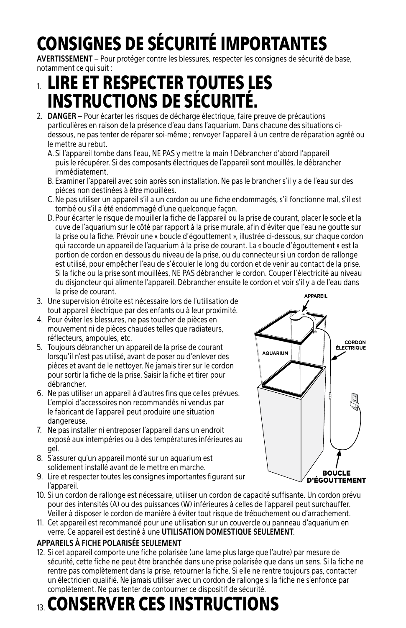# CONSIGNES DE SÉCURITÉ IMPORTANTES

**AVERTISSEMENT** – Pour protéger contre les blessures, respecter les consignes de sécurité de base, notamment ce qui suit :

### $_{1}$  lire et respecter toutes les  $\,$ INSTRUCTIONS DE SÉCURITÉ.

- 2. **DANGER** Pour écarter les risques de décharge électrique, faire preuve de précautions particulières en raison de la présence d'eau dans l'aquarium. Dans chacune des situations cidessous, ne pas tenter de réparer soi-même ; renvoyer l'appareil à un centre de réparation agréé ou le mettre au rebut.
	- A. Si l'appareil tombe dans l'eau, NE PAS y mettre la main ! Débrancher d'abord l'appareil puis le récupérer. Si des composants électriques de l'appareil sont mouillés, le débrancher immédiatement.
	- B. Examiner l'appareil avec soin après son installation. Ne pas le brancher s'il y a de l'eau sur des pièces non destinées à être mouillées.
	- C. Ne pas utiliser un appareil s'il a un cordon ou une fiche endommagés, s'il fonctionne mal, s'il est tombé ou s'il a été endommagé d'une quelconque façon.
	- Si la fiche ou la prise sont mouillées, NE PAS débrancher le cordon. Couper l'électricité au niveau **APPAREIL** D. Pour écarter le risque de mouiller la fiche de l'appareil ou la prise de courant, placer le socle et la cuve de l'aquarium sur le côté par rapport à la prise murale, afin d'éviter que l'eau ne goutte sur la prise ou la fiche. Prévoir une « boucle d'égouttement », illustrée ci-dessous, sur chaque cordon qui raccorde un appareil de l'aquarium à la prise de courant. La « boucle d'égouttement » est la portion de cordon en dessous du niveau de la prise, ou du connecteur si un cordon de rallonge est utilisé, pour empêcher l'eau de s'écouler le long du cordon et de venir au contact de la prise. du disjoncteur qui alimente l'appareil. Débrancher ensuite le cordon et voir s'il y a de l'eau dans la prise de courant.
- 3. Une supervision étroite est nécessaire lors de l'utilisation de tout appareil électrique par des enfants ou à leur proximité.
- 4. Pour éviter les blessures, ne pas toucher de pièces en mouvement ni de pièces chaudes telles que radiateurs, réflecteurs, ampoules, etc.
- 5. Toujours débrancher un appareil de la prise de courant lorsqu'il n'est pas utilisé, avant de poser ou d'enlever des pièces et avant de le nettoyer. Ne jamais tirer sur le cordon pour sortir la fiche de la prise. Saisir la fiche et tirer pour débrancher.
- 6. Ne pas utiliser un appareil à d'autres fins que celles prévues. L'emploi d'accessoires non recommandés ni vendus par le fabricant de l'appareil peut produire une situation dangereuse.
- 7. Ne pas installer ni entreposer l'appareil dans un endroit exposé aux intempéries ou à des températures inférieures au gel.
- 8. S'assurer qu'un appareil monté sur un aquarium est solidement installé avant de le mettre en marche.
- 9. Lire et respecter toutes les consignes importantes figurant sur l'appareil.
- 10. Si un cordon de rallonge est nécessaire, utiliser un cordon de capacité suffisante. Un cordon prévu pour des intensités (A) ou des puissances (W) inférieures à celles de l'appareil peut surchauffer. Veiller à disposer le cordon de manière à éviter tout risque de trébuchement ou d'arrachement.
- 11. Cet appareil est recommandé pour une utilisation sur un couvercle ou panneau d'aquarium en verre. Ce appareil est destiné à une **UTILISATION DOMESTIQUE SEULEMENT**.

#### **APPAREILS À FICHE POLARISÉE SEULEMENT**

12. Si cet appareil comporte une fiche polarisée (une lame plus large que l'autre) par mesure de sécurité, cette fiche ne peut être branchée dans une prise polarisée que dans un sens. Si la fiche ne rentre pas complètement dans la prise, retourner la fiche. Si elle ne rentre toujours pas, contacter un électricien qualifié. Ne jamais utiliser avec un cordon de rallonge si la fiche ne s'enfonce par complètement. Ne pas tenter de contourner ce dispositif de sécurité.

## 13. CONSERVER CES INSTRUCTIONS

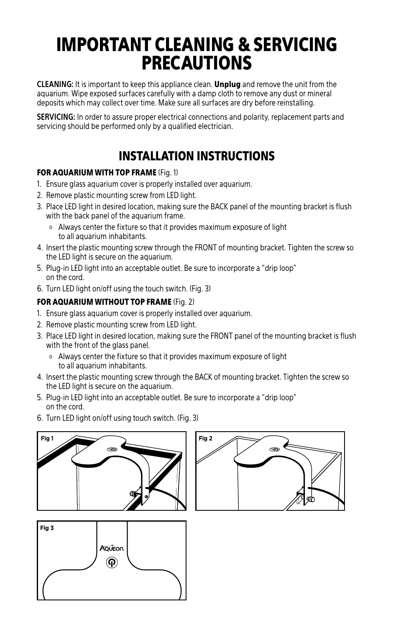### IMPORTANT CLEANING & SERVICING PRECAUTIONS

**CLEANING:** It is important to keep this appliance clean. Unplug and remove the unit from the aquarium. Wipe exposed surfaces carefully with a damp cloth to remove any dust or mineral deposits which may collect over time. Make sure all surfaces are dry before reinstalling.

**SERVICING:** In order to assure proper electrical connections and polarity, replacement parts and servicing should be performed only by a qualified electrician.

#### INSTALLATION INSTRUCTIONS

#### FOR AQUARIUM WITH TOP FRAME (Fig. 1)

- 1. Ensure glass aquarium cover is properly installed over aquarium.
- 2. Remove plastic mounting screw from LED light.
- 3. Place LED light in desired location, making sure the BACK panel of the mounting bracket is flush with the back panel of the aquarium frame.
	- o Always center the fixture so that it provides maximum exposure of light to all aquarium inhabitants.
- 4. Insert the plastic mounting screw through the FRONT of mounting bracket. Tighten the screw so the LED light is secure on the aquarium.
- 5. Plug-in LED light into an acceptable outlet. Be sure to incorporate a "drip loop" on the cord.
- 6. Turn LED light on/off using the touch switch. (Fig. 3)

#### FOR AQUARIUM WITHOUT TOP FRAME (Fig. 2)

- 1. Ensure glass aquarium cover is properly installed over aquarium.
- 2. Remove plastic mounting screw from LED light.
- 3. Place LED light in desired location, making sure the FRONT panel of the mounting bracket is flush with the front of the glass panel.
	- o Always center the fixture so that it provides maximum exposure of light to all aquarium inhabitants.
- 4. Insert the plastic mounting screw through the BACK of mounting bracket. Tighten the screw so the LED light is secure on the aquarium.
- 5. Plug-in LED light into an acceptable outlet. Be sure to incorporate a "drip loop" on the cord.
- 6. Turn LED light on/off using touch switch. (Fig. 3)